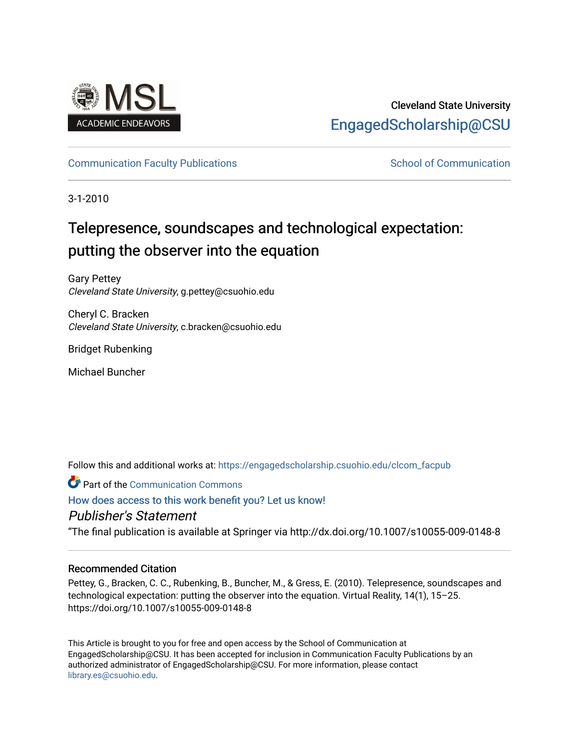

# Cleveland State University [EngagedScholarship@CSU](https://engagedscholarship.csuohio.edu/)

## [Communication Faculty Publications](https://engagedscholarship.csuohio.edu/clcom_facpub) [School of Communication](https://engagedscholarship.csuohio.edu/clcom) School of Communication

3-1-2010

# Telepresence, soundscapes and technological expectation: putting the observer into the equation

Gary Pettey Cleveland State University, g.pettey@csuohio.edu

Cheryl C. Bracken Cleveland State University, c.bracken@csuohio.edu

Bridget Rubenking

Michael Buncher

Follow this and additional works at: [https://engagedscholarship.csuohio.edu/clcom\\_facpub](https://engagedscholarship.csuohio.edu/clcom_facpub?utm_source=engagedscholarship.csuohio.edu%2Fclcom_facpub%2F36&utm_medium=PDF&utm_campaign=PDFCoverPages) 

**Part of the Communication Commons** 

## [How does access to this work benefit you? Let us know!](http://library.csuohio.edu/engaged/)

## Publisher's Statement

"The final publication is available at Springer via http://dx.doi.org/10.1007/s10055-009-0148-8

## Recommended Citation

Pettey, G., Bracken, C. C., Rubenking, B., Buncher, M., & Gress, E. (2010). Telepresence, soundscapes and technological expectation: putting the observer into the equation. Virtual Reality, 14(1), 15–25. https://doi.org/10.1007/s10055-009-0148-8

This Article is brought to you for free and open access by the School of Communication at EngagedScholarship@CSU. It has been accepted for inclusion in Communication Faculty Publications by an authorized administrator of EngagedScholarship@CSU. For more information, please contact [library.es@csuohio.edu.](mailto:library.es@csuohio.edu)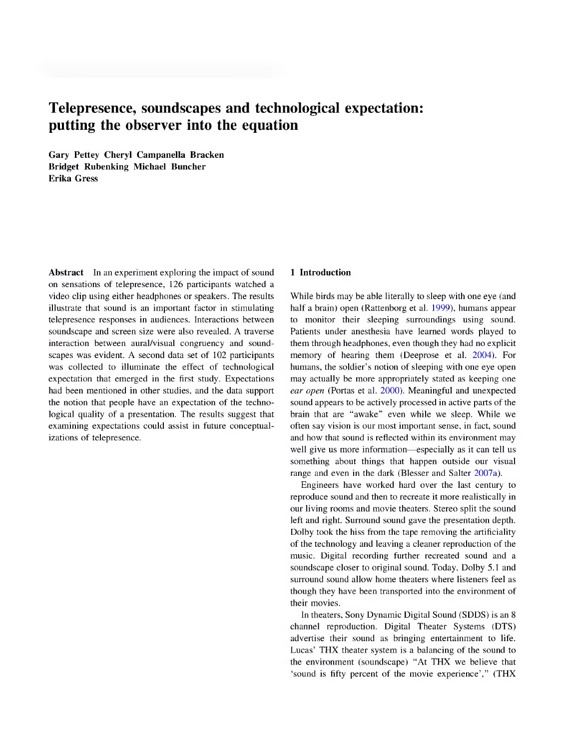## **Telepresence, soundscapes and technological expectation: putting the observer into the equation**

**Gary Pettey Cheryl Campanella Bracken Bridget Rubenking Michael Buncher Erika Gress**

**Abstract** In an experiment exploring the impact of sound on sensations of telepresence, 126 participants watched a video clip using either headphones or speakers. The results illustrate that sound is an important factor in stimulating telepresence responses in audiences. Interactions between soundscape and screen size were also revealed. A traverse interaction between aural/visual congruency and soundscapes was evident. A second data set of 102 participants was collected to illuminate the effect of technological expectation that emerged in the first study. Expectations had been mentioned in other studies, and the data support the notion that people have an expectation of the technological quality of a presentation. The results suggest that examining expectations could assist in future conceptualizations of telepresence.

#### **1 Introduction**

While birds may be able literally to sleep with one eye (and half a brain) open (Rattenborg et al. 1999), humans appear to monitor their sleeping surroundings using sound. Patients under anesthesia have learned words played to them through headphones, even though they had no explicit memory of hearing them (Deeprose et al. 2004). For humans, the soldier's notion of sleeping with one eye open may actually be more appropriately stated as keeping one *ear open* (Portas et al. 2000). Meaningful and unexpected sound appears to be actively processed in active parts of the brain that are "awake" even while we sleep. While we often say vision is our most important sense, in fact, sound and how that sound is reflected within its environment may well give us more information—especially as it can tell us something about things that happen outside our visual range and even in the dark (Blesser and Salter 2007a).

Engineers have worked hard over the last century to reproduce sound and then to recreate it more realistically in our living rooms and movie theaters. Stereo split the sound left and right. Surround sound gave the presentation depth. Dolby took the hiss from the tape removing the artificiality of the technology and leaving a cleaner reproduction of the music. Digital recording further recreated sound and a soundscape closer to original sound. Today, Dolby 5.1 and surround sound allow home theaters where listeners feel as though they have been transported into the environment of their movies.

In theaters, Sony Dynamic Digital Sound (SDDS) is an 8 channel reproduction. Digital Theater Systems (DTS) advertise their sound as bringing entertainment to life. Lucas' THX theater system is a balancing of the sound to the environment (soundscape) "At THX we believe that 'sound is fifty percent of the movie experience'," (THX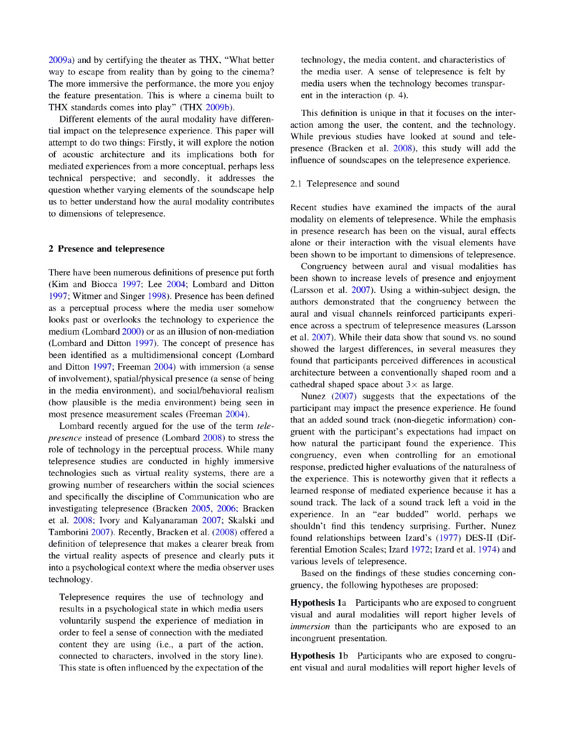2009a) and by certifying the theater as THX, "What better way to escape from reality than by going to the cinema? The more immersive the performance, the more you enjoy the feature presentation. This is where a cinema built to THX standards comes into play" (THX 2009b).

Different elements of the aural modality have differential impact on the telepresence experience. This paper will attempt to do two things: Firstly, it will explore the notion of acoustic architecture and its implications both for mediated experiences from a more conceptual, perhaps less technical perspective; and secondly, it addresses the question whether varying elements of the soundscape help us to better understand how the aural modality contributes to dimensions of telepresence.

#### **2 Presence and telepresence**

There have been numerous definitions of presence put forth (Kim and Biocca 1997; Lee 2004; Lombard and Ditton 1997; Witmer and Singer 1998). Presence has been defined as a perceptual process where the media user somehow looks past or overlooks the technology to experience the medium (Lombard 2000) or as an illusion of non-mediation (Lombard and Ditton 1997). The concept of presence has been identified as a multidimensional concept (Lombard and Ditton 1997; Freeman 2004) with immersion (a sense of involvement), spatial/physical presence (a sense of being in the media environment), and social/behavioral realism (how plausible is the media environment) being seen in most presence measurement scales (Freeman 2004).

Lombard recently argued for the use of the term *telepresence* instead of presence (Lombard 2008) to stress the role of technology in the perceptual process. While many telepresence studies are conducted in highly immersive technologies such as virtual reality systems, there are a growing number of researchers within the social sciences and specifically the discipline of Communication who are investigating telepresence (Bracken 2005, 2006; Bracken et al. 2008; Ivory and Kalyanaraman 2007; Skalski and Tamborini 2007). Recently, Bracken et al. (2008) offered a definition of telepresence that makes a clearer break from the virtual reality aspects of presence and clearly puts it into a psychological context where the media observer uses technology.

Telepresence requires the use of technology and results in a psychological state in which media users voluntarily suspend the experience of mediation in order to feel a sense of connection with the mediated content they are using (i.e., a part of the action, connected to characters, involved in the story line). This state is often influenced by the expectation of the technology, the media content, and characteristics of the media user. A sense of telepresence is felt by media users when the technology becomes transparent in the interaction (p. 4).

This definition is unique in that it focuses on the interaction among the user, the content, and the technology. While previous studies have looked at sound and telepresence (Bracken et al. 2008), this study will add the influence of soundscapes on the telepresence experience.

#### 2.1 Telepresence and sound

Recent studies have examined the impacts of the aural modality on elements of telepresence. While the emphasis in presence research has been on the visual, aural effects alone or their interaction with the visual elements have been shown to be important to dimensions of telepresence.

Congruency between aural and visual modalities has been shown to increase levels of presence and enjoyment (Larsson et al. 2007). Using a within-subject design, the authors demonstrated that the congruency between the aural and visual channels reinforced participants experience across a spectrum of telepresence measures (Larsson et al. 2007). While their data show that sound vs. no sound showed the largest differences, in several measures they found that participants perceived differences in acoustical architecture between a conventionally shaped room and a cathedral shaped space about  $3 \times$  as large.

Nunez (2007) suggests that the expectations of the participant may impact the presence experience. He found that an added sound track (non-diegetic information) congruent with the participant's expectations had impact on how natural the participant found the experience. This congruency, even when controlling for an emotional response, predicted higher evaluations of the naturalness of the experience. This is noteworthy given that it reflects a learned response of mediated experience because it has a sound track. The lack of a sound track left a void in the experience. In an "ear budded" world, perhaps we shouldn't find this tendency surprising. Further, Nunez found relationships between Izard's (1977) DES-II (Differential Emotion Scales; Izard 1972; Izard et al. 1974) and various levels of telepresence.

Based on the findings of these studies concerning congruency, the following hypotheses are proposed:

**Hypothesis** la Participants who are exposed to congruent visual and aural modalities will report higher levels of *immersion* than the participants who are exposed to an incongruent presentation.

**Hypothesis** lb Participants who are exposed to congruent visual and aural modalities will report higher levels of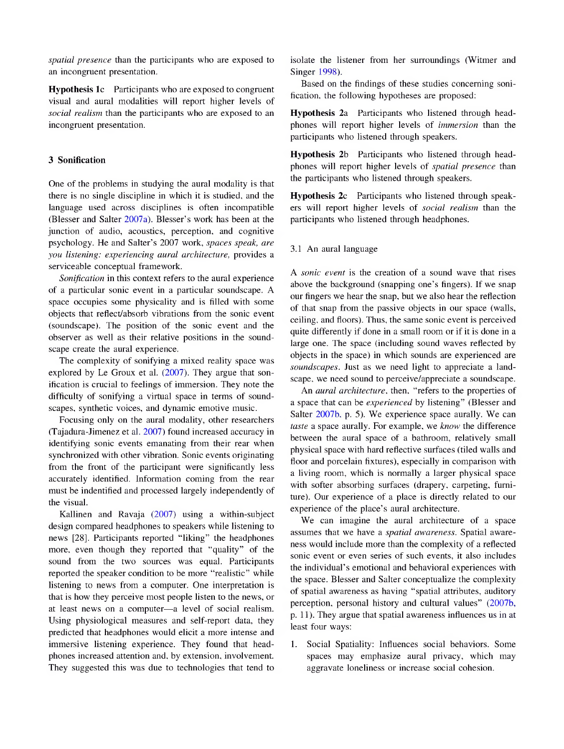*spatial presence* than the participants who are exposed to an incongruent presentation.

**Hypothesis 1**c Participants who are exposed to congruent visual and aural modalities will report higher levels of *social realism* than the participants who are exposed to an incongruent presentation.

#### **3 Sonification**

One of the problems in studying the aural modality is that there is no single discipline in which it is studied, and the language used across disciplines is often incompatible (Blesser and Salter 2007a). Blesser's work has been at the junction of audio, acoustics, perception, and cognitive psychology. He and Salter's 2007 work, *spaces speak, are you listening: experiencing aural architecture,* provides a serviceable conceptual framework.

*Sonification* in this context refers to the aural experience of a particular sonic event in a particular soundscape. A space occupies some physicality and is filled with some objects that reflect/absorb vibrations from the sonic event (soundscape). The position of the sonic event and the observer as well as their relative positions in the soundscape create the aural experience.

The complexity of sonifying a mixed reality space was explored by Le Groux et al. (2007). They argue that son ification is crucial to feelings of immersion. They note the difficulty of sonifying a virtual space in terms of soundscapes, synthetic voices, and dynamic emotive music.

Focusing only on the aural modality, other researchers (Tajadura-Jimenez et al. 2007) found increased accuracy in identifying sonic events emanating from their rear when synchronized with other vibration. Sonic events originating from the front of the participant were significantly less accurately identified. Information coming from the rear must be indentified and processed largely independently of the visual.

Kallinen and Ravaja (2007) using a within-subject design compared headphones to speakers while listening to news [28]. Participants reported "liking" the headphones more, even though they reported that "quality" of the sound from the two sources was equal. Participants reported the speaker condition to be more "realistic" while listening to news from a computer. One interpretation is that is how they perceive most people listen to the news, or at least news on a computer—a level of social realism. Using physiological measures and self-report data, they predicted that headphones would elicit a more intense and immersive listening experience. They found that headphones increased attention and. by extension, involvement. They suggested this was due to technologies that tend to isolate the listener from her surroundings (Witmer and Singer 1998).

Based on the findings of these studies concerning soni fication, the following hypotheses are proposed:

**Hypothesis** 2a Participants who listened through headphones will report higher levels of *immersion* than the participants who listened through speakers.

**Hypothesis** 2b Participants who listened through headphones will report higher levels of *spatial presence* than the participants who listened through speakers.

**Hypothesis** 2c Participants who listened through speakers will report higher levels of *social realism* than the participants who listened through headphones.

#### 3.1 An aural language

A *sonic event* is the creation of a sound wave that rises above the background (snapping one's fingers). If we snap our fingers we hear the snap, but we also hear the reflection of that snap from the passive objects in our space (walls, ceiling, and floors). Thus, the same sonic event is perceived quite differently if done in a small room or if it is done in a large one. The space (including sound waves reflected by objects in the space) in which sounds are experienced are *soundscapes.* Just as we need light to appreciate a landscape, we need sound to perceive/appreciate a soundscape.

An *aural architecture,* then, "refers to the properties of a space that can be *experienced* by listening" (Blesser and Salter 2007b, p. 5). We experience space aurally. We can *taste* a space aurally. For example, we *know* the difference between the aural space of a bathroom, relatively small physical space with hard reflective surfaces (tiled walls and floor and porcelain fixtures), especially in comparison with a living room, which is normally a larger physical space with softer absorbing surfaces (drapery, carpeting, furniture). Our experience of a place is directly related to our experience of the place's aural architecture.

We can imagine the aural architecture of a space assumes that we have a *spatial awareness.* Spatial awareness would include more than the complexity of a reflected sonic event or even series of such events, it also includes the individual's emotional and behavioral experiences with the space. Blesser and Salter conceptualize the complexity of spatial awareness as having "spatial attributes, auditory perception, personal history and cultural values" (2007b, p. 11). They argue that spatial awareness influences us in at least four ways:

1. Social Spatiality: Influences social behaviors. Some spaces may emphasize aural privacy, which may aggravate loneliness or increase social cohesion.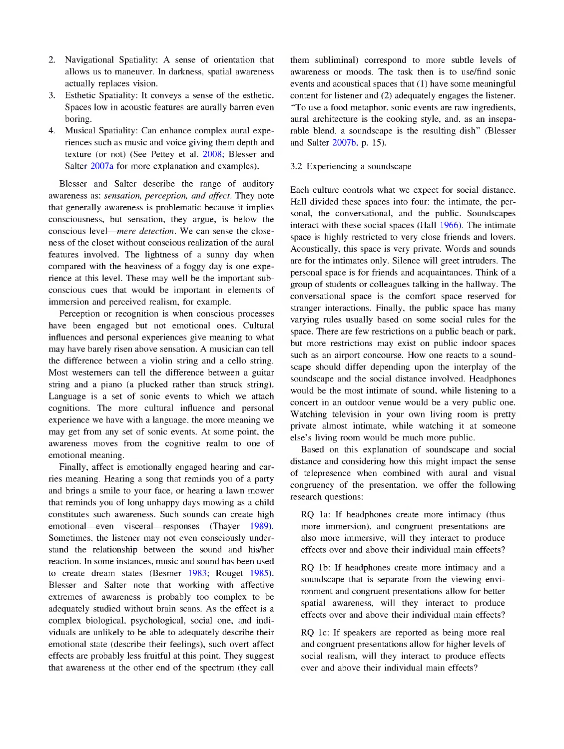- 2. Navigational Spatiality: A sense of orientation that allows us to maneuver. In darkness, spatial awareness actually replaces vision.
- 3. Esthetic Spatiality: It conveys a sense of the esthetic. Spaces low in acoustic features are aurally barren even boring.
- 4. Musical Spatiality: Can enhance complex aural experiences such as music and voice giving them depth and texture (or not) (See Pettey et al. 2008; Blesser and Salter 2007a for more explanation and examples).

Blesser and Salter describe the range of auditory awareness as: *sensation, perception, and affect.* They note that generally awareness is problematic because it implies consciousness, but sensation, they argue, is below the conscious level—*mere detection.* We can sense the closeness of the closet without conscious realization of the aural features involved. The lightness of a sunny day when compared with the heaviness of a foggy day is one experience at this level. These may well be the important subconscious cues that would be important in elements of immersion and perceived realism, for example.

Perception or recognition is when conscious processes have been engaged but not emotional ones. Cultural influences and personal experiences give meaning to what may have barely risen above sensation. A musician can tell the difference between a violin string and a cello string. Most westerners can tell the difference between a guitar string and a piano (a plucked rather than struck string). Language is a set of sonic events to which we attach cognitions. The more cultural influence and personal experience we have with a language, the more meaning we may get from any set of sonic events. At some point, the awareness moves from the cognitive realm to one of emotional meaning.

Finally, affect is emotionally engaged hearing and carries meaning. Hearing a song that reminds you of a party and brings a smile to your face, or hearing a lawn mower that reminds you of long unhappy days mowing as a child constitutes such awareness. Such sounds can create high emotional—even visceral—responses (Thayer 1989). Sometimes, the listener may not even consciously understand the relationship between the sound and his/her reaction. In some instances, music and sound has been used to create dream states (Besmer 1983; Rouget 1985). Blesser and Salter note that working with affective extremes of awareness is probably too complex to be adequately studied without brain scans. As the effect is a complex biological, psychological, social one, and individuals are unlikely to be able to adequately describe their emotional state (describe their feelings), such overt affect effects are probably less fruitful at this point. They suggest that awareness at the other end of the spectrum (they call them subliminal) correspond to more subtle levels of awareness or moods. The task then is to use/find sonic events and acoustical spaces that (1) have some meaningful content for listener and (2) adequately engages the listener. "To use a food metaphor, sonic events are raw ingredients, aural architecture is the cooking style, and. as an inseparable blend, a soundscape is the resulting dish" (Blesser and Salter 2007b, p. 15).

#### 3.2 Experiencing a soundscape

Each culture controls what we expect for social distance. Hall divided these spaces into four: the intimate, the personal, the conversational, and the public. Soundscapes interact with these social spaces (Hall 1966). The intimate space is highly restricted to very close friends and lovers. Acoustically, this space is very private. Words and sounds are for the intimates only. Silence will greet intruders. The personal space is for friends and acquaintances. Think of a group of students or colleagues talking in the hallway. The conversational space is the comfort space reserved for stranger interactions. Finally, the public space has many varying rules usually based on some social rules for the space. There are few restrictions on a public beach or park, but more restrictions may exist on public indoor spaces such as an airport concourse. How one reacts to a soundscape should differ depending upon the interplay of the soundscape and the social distance involved. Headphones would be the most intimate of sound, while listening to a concert in an outdoor venue would be a very public one. Watching television in your own living room is pretty private almost intimate, while watching it at someone else's living room would be much more public.

Based on this explanation of soundscape and social distance and considering how this might impact the sense of telepresence when combined with aural and visual congruency of the presentation, we offer the following research questions:

RQ la: If headphones create more intimacy (thus more immersion), and congruent presentations are also more immersive, will they interact to produce effects over and above their individual main effects?

RQ lb: If headphones create more intimacy and a soundscape that is separate from the viewing environment and congruent presentations allow for better spatial awareness, will they interact to produce effects over and above their individual main effects?

RQ lc: If speakers are reported as being more real and congruent presentations allow for higher levels of social realism, will they interact to produce effects over and above their individual main effects?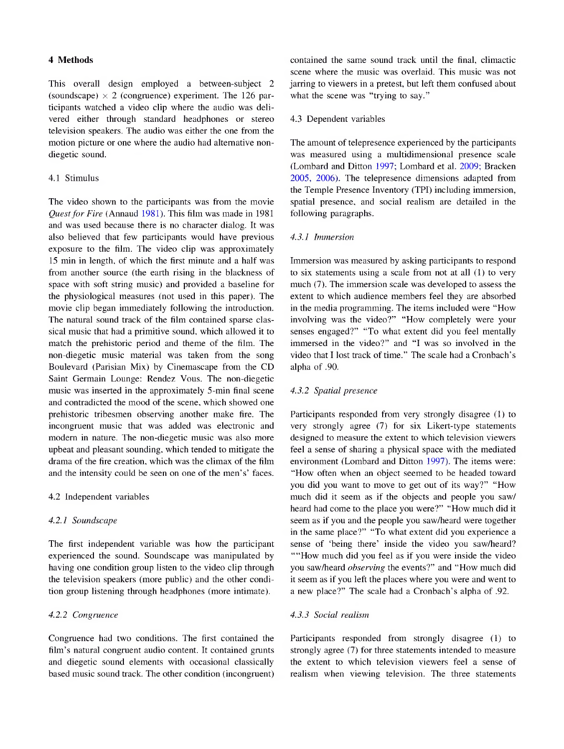#### **4 Methods**

This overall design employed a between-subject 2 (soundscape)  $\times$  2 (congruence) experiment. The 126 participants watched a video clip where the audio was delivered either through standard headphones or stereo television speakers. The audio was either the one from the motion picture or one where the audio had alternative nondiegetic sound.

#### 4.1 Stimulus

The video shown to the participants was from the movie *Quest for Fire* (Annaud 1981). This film was made in 1981 and was used because there is no character dialog. It was also believed that few participants would have previous exposure to the film. The video clip was approximately 15 min in length, of which the first minute and a half was from another source (the earth rising in the blackness of space with soft string music) and provided a baseline for the physiological measures (not used in this paper). The movie clip began immediately following the introduction. The natural sound track of the film contained sparse classical music that had a primitive sound, which allowed it to match the prehistoric period and theme of the film. The non-diegetic music material was taken from the song Boulevard (Parisian Mix) by Cinemascape from the CD Saint Germain Lounge: Rendez Vous. The non-diegetic music was inserted in the approximately 5-min final scene and contradicted the mood of the scene, which showed one prehistoric tribesmen observing another make fire. The incongruent music that was added was electronic and modern in nature. The non-diegetic music was also more upbeat and pleasant sounding, which tended to mitigate the drama of the fire creation, which was the climax of the film and the intensity could be seen on one of the men's' faces.

#### 4.2 Independent variables

#### *4.2.1 Soundscape*

The first independent variable was how the participant experienced the sound. Soundscape was manipulated by having one condition group listen to the video clip through the television speakers (more public) and the other condition group listening through headphones (more intimate).

#### *4.2.2 Congruence*

Congruence had two conditions. The first contained the film's natural congruent audio content. It contained grunts and diegetic sound elements with occasional classically based music sound track. The other condition (incongruent) contained the same sound track until the final, climactic scene where the music was overlaid. This music was not jarring to viewers in a pretest, but left them confused about what the scene was "trying to say."

#### 4.3 Dependent variables

The amount of telepresence experienced by the participants was measured using a multidimensional presence scale (Lombard and Ditton 1997; Lombard et al. 2009; Bracken 2005, 2006). The telepresence dimensions adapted from the Temple Presence Inventory (TPI) including immersion, spatial presence, and social realism are detailed in the following paragraphs.

#### *4.3.1 Immersion*

Immersion was measured by asking participants to respond to six statements using a scale from not at all (1) to very much (7). The immersion scale was developed to assess the extent to which audience members feel they are absorbed in the media programming. The items included were "How involving was the video?" "How completely were your senses engaged?" "To what extent did you feel mentally immersed in the video?" and "I was so involved in the video that I lost track of time." The scale had a Cronbach's alpha of .90.

#### *4.3.2 Spatial presence*

Participants responded from very strongly disagree (1) to very strongly agree (7) for six Likert-type statements designed to measure the extent to which television viewers feel a sense of sharing a physical space with the mediated environment (Lombard and Ditton 1997). The items were: "How often when an object seemed to be headed toward you did you want to move to get out of its way?" "How much did it seem as if the objects and people you saw/ heard had come to the place you were?" "How much did it seem as if you and the people you saw/heard were together in the same place?" "To what extent did you experience a sense of 'being there' inside the video you saw/heard? ""How much did you feel as if you were inside the video you saw/heard *observing* the events?" and "How much did it seem as if you left the places where you were and went to a new place?" The scale had a Cronbach's alpha of .92.

#### *4.3.3 Social realism*

Participants responded from strongly disagree (1) to strongly agree (7) for three statements intended to measure the extent to which television viewers feel a sense of realism when viewing television. The three statements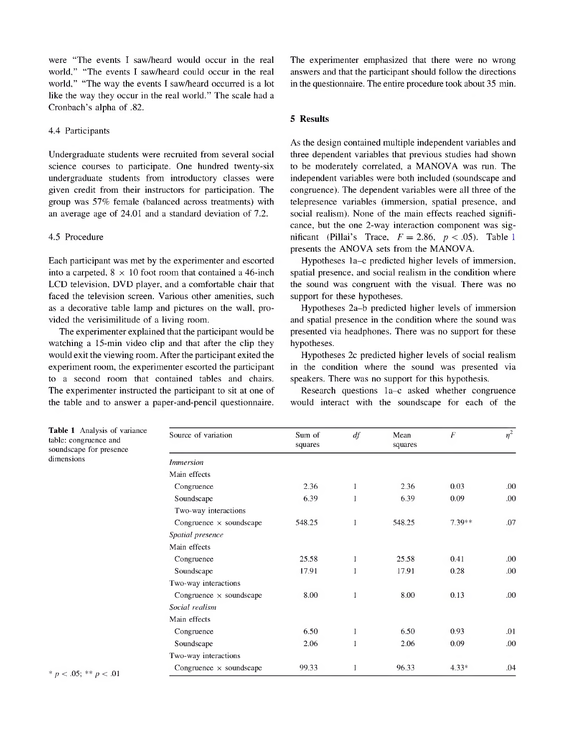were "The events I saw/heard would occur in the real world." "The events I saw/heard could occur in the real world," "The way the events I saw/heard occurred is a lot like the way they occur in the real world." The scale had a Cronbach's alpha of .82.

#### 4.4 Participants

Undergraduate students were recruited from several social science courses to participate. One hundred twenty-six undergraduate students from introductory classes were given credit from their instructors for participation. The group was 57% female (balanced across treatments) with an average age of 24.01 and a standard deviation of 7.2.

#### 4.5 Procedure

Each participant was met by the experimenter and escorted into a carpeted,  $8 \times 10$  foot room that contained a 46-inch LCD television, DVD player, and a comfortable chair that faced the television screen. Various other amenities, such as a decorative table lamp and pictures on the wall, provided the verisimilitude of a living room.

The experimenter explained that the participant would be watching a 15-min video clip and that after the clip they would exit the viewing room. After the participant exited the experiment room, the experimenter escorted the participant to a second room that contained tables and chairs. The experimenter instructed the participant to sit at one of the table and to answer a paper-and-pencil questionnaire.

The experimenter emphasized that there were no wrong answers and that the participant should follow the directions in the questionnaire. The entire procedure took about 35 min.

#### **5 Results**

As the design contained multiple independent variables and three dependent variables that previous studies had shown to be moderately correlated, a MANOVA was run. The independent variables were both included (soundscape and congruence). The dependent variables were all three of the telepresence variables (immersion, spatial presence, and social realism). None of the main effects reached significance, but the one 2-way interaction component was significant (Pillai's Trace,  $F = 2.86$ ,  $p < .05$ ). Table 1 presents the ANOVA sets from the MANOVA.

Hypotheses la-c predicted higher levels of immersion, spatial presence, and social realism in the condition where the sound was congruent with the visual. There was no support for these hypotheses.

Hypotheses 2a-b predicted higher levels of immersion and spatial presence in the condition where the sound was presented via headphones. There was no support for these hypotheses.

Hypotheses 2c predicted higher levels of social realism in the condition where the sound was presented via speakers. There was no support for this hypothesis.

Research questions la-c asked whether congruence would interact with the soundscape for each of the

Source of variation Sum of *df* Mean *F*  $\eta^2$ squares *Immersion* Main effects Congruence 2.36 1 2.36 0.03 .00 Soundscape 6.39 1 6.39 0.09 0.00 Two-way interactions Congruence  $\times$  soundscape 548.25 1 548.25 7.39\*\* .07 *Spatial presence* Main effects Congruence 25.58 1 25.58 0.41 .00 Soundscape 17.91 1 17.91 0.28 .00 Two-way interactions Congruence  $\times$  soundscape 8.00 1 8.00 0.13 .00 *Social realism* Main effects Congruence 6.50 1 6.50 0.93 01 Soundscape 2.06 1 2.06 0.09 .00 Two-way interactions Congruence  $\times$  soundscape 99.33 1 96.33 4.33\* 04

Table <sup>1</sup> Analysis of variance table: congruence and soundscape for presence dimensions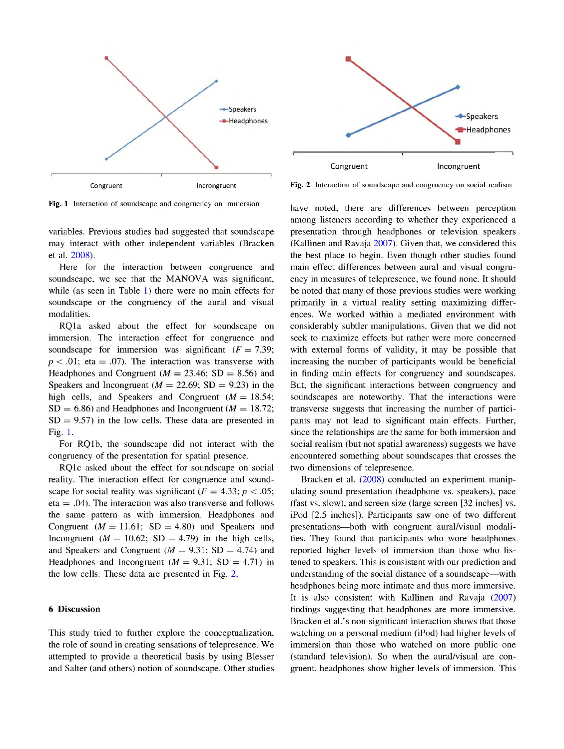

Speakers Headphones Congruent **Incongruent** 

Fig. 2 Interaction of soundscape and congruency on social realism

Fig. 1 Interaction of soundscape and congruency on immersion

variables. Previous studies had suggested that soundscape may interact with other independent variables (Bracken et al. 2008).

Here for the interaction between congruence and soundscape, we see that the MANOVA was significant, while (as seen in Table 1) there were no main effects for soundscape or the congruency of the aural and visual modalities.

RQla asked about the effect for soundscape on immersion. The interaction effect for congruence and soundscape for immersion was significant  $(F = 7.39)$ ;  $p < .01$ ; eta = .07). The interaction was transverse with Headphones and Congruent  $(M = 23.46; SD = 8.56)$  and Speakers and Incongruent  $(M = 22.69; SD = 9.23)$  in the high cells, and Speakers and Congruent  $(M = 18.54)$ ;  $SD = 6.86$ ) and Headphones and Incongruent *(M = 18.72;*  $SD = 9.57$ ) in the low cells. These data are presented in Fig. 1.

For RQlb, the soundscape did not interact with the congruency of the presentation for spatial presence.

RQlc asked about the effect for soundscape on social reality. The interaction effect for congruence and soundscape for social reality was significant ( $F = 4.33$ ;  $p < .05$ ;  $eta = .04$ ). The interaction was also transverse and follows the same pattern as with immersion. Headphones and Congruent  $(M = 11.61; SD = 4.80)$  and Speakers and Incongruent  $(M = 10.62; SD = 4.79)$  in the high cells, and Speakers and Congruent  $(M = 9.31; SD = 4.74)$  and Headphones and Incongruent  $(M = 9.31; SD = 4.71)$  in the low cells. These data are presented in Fig. 2.

#### **6 Discussion**

This study tried to further explore the conceptualization, the role of sound in creating sensations of telepresence. We attempted to provide a theoretical basis by using Blesser and Salter (and others) notion of soundscape. Other studies have noted, there are differences between perception among listeners according to whether they experienced a presentation through headphones or television speakers (Kallinen and Ravaja 2007). Given that, we considered this the best place to begin. Even though other studies found main effect differences between aural and visual congruency in measures of telepresence, we found none. It should be noted that many of those previous studies were working primarily in a virtual reality setting maximizing differences. We worked within a mediated environment with considerably subtler manipulations. Given that we did not seek to maximize effects but rather were more concerned with external forms of validity, it may be possible that increasing the number of participants would be beneficial in finding main effects for congruency and soundscapes. But, the significant interactions between congruency and soundscapes are noteworthy. That the interactions were transverse suggests that increasing the number of participants may not lead to significant main effects. Further, since the relationships are the same for both immersion and social realism (but not spatial awareness) suggests we have encountered something about soundscapes that crosses the two dimensions of telepresence.

Bracken et al. (2008) conducted an experiment manipulating sound presentation (headphone vs. speakers), pace (fast vs. slow), and screen size (large screen [32 inches] vs. iPod [2.5 inches]). Participants saw one of two different presentations—both with congruent aural/visual modalities. They found that participants who wore headphones reported higher levels of immersion than those who listened to speakers. This is consistent with our prediction and understanding of the social distance of a soundscape—with headphones being more intimate and thus more immersive. It is also consistent with Kallinen and Ravaja (2007) findings suggesting that headphones are more immersive. Bracken et al.'s non-significant interaction shows that those watching on a personal medium (iPod) had higher levels of immersion than those who watched on more public one (standard television). So when the aural/visual are congruent, headphones show higher levels of immersion. This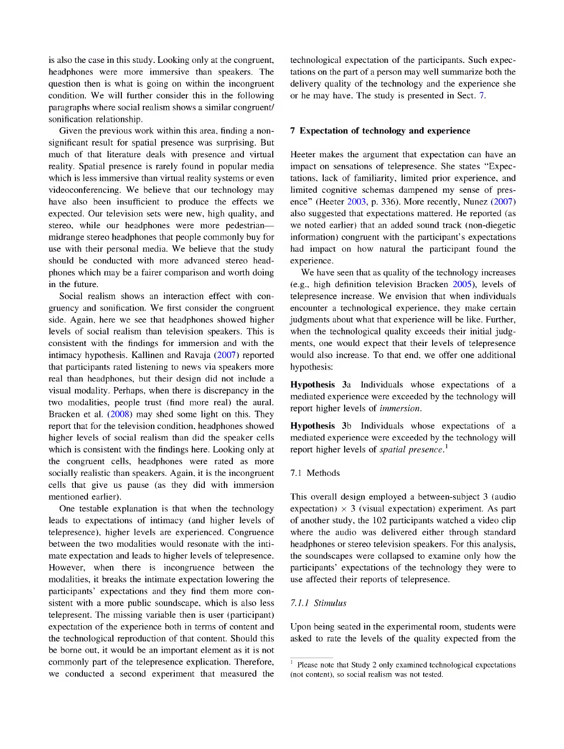is also the case in this study. Looking only at the congruent, headphones were more immersive than speakers. The question then is what is going on within the incongruent condition. We will further consider this in the following paragraphs where social realism shows a similar congruent/ sonification relationship.

Given the previous work within this area, finding a nonsignificant result for spatial presence was surprising. But much of that literature deals with presence and virtual reality. Spatial presence is rarely found in popular media which is less immersive than virtual reality systems or even videoconferencing. We believe that our technology may have also been insufficient to produce the effects we expected. Our television sets were new, high quality, and stereo, while our headphones were more pedestrian midrange stereo headphones that people commonly buy for use with their personal media. We believe that the study should be conducted with more advanced stereo headphones which may be a fairer comparison and worth doing in the future.

Social realism shows an interaction effect with congruency and sonification. We first consider the congruent side. Again, here we see that headphones showed higher levels of social realism than television speakers. This is consistent with the findings for immersion and with the intimacy hypothesis. Kallinen and Ravaja (2007) reported that participants rated listening to news via speakers more real than headphones, but their design did not include a visual modality. Perhaps, when there is discrepancy in the two modalities, people trust (find more real) the aural. Bracken et al. (2008) may shed some light on this. They report that for the television condition, headphones showed higher levels of social realism than did the speaker cells which is consistent with the findings here. Looking only at the congruent cells, headphones were rated as more socially realistic than speakers. Again, it is the incongruent cells that give us pause (as they did with immersion mentioned earlier).

One testable explanation is that when the technology leads to expectations of intimacy (and higher levels of telepresence), higher levels are experienced. Congruence between the two modalities would resonate with the intimate expectation and leads to higher levels of telepresence. However, when there is incongruence between the modalities, it breaks the intimate expectation lowering the participants' expectations and they find them more consistent with a more public soundscape, which is also less telepresent. The missing variable then is user (participant) expectation of the experience both in terms of content and the technological reproduction of that content. Should this be borne out, it would be an important element as it is not commonly part of the telepresence explication. Therefore, we conducted a second experiment that measured the technological expectation of the participants. Such expectations on the part of a person may well summarize both the delivery quality of the technology and the experience she or he may have. The study is presented in Sect. 7.

#### **7 Expectation of technology and experience**

Heeter makes the argument that expectation can have an impact on sensations of telepresence. She states "Expectations, lack of familiarity, limited prior experience, and limited cognitive schemas dampened my sense of presence" (Heeter 2003, p. 336). More recently, Nunez (2007) also suggested that expectations mattered. He reported (as we noted earlier) that an added sound track (non-diegetic information) congruent with the participant's expectations had impact on how natural the participant found the experience.

We have seen that as quality of the technology increases (e.g., high definition television Bracken 2005), levels of telepresence increase. We envision that when individuals encounter a technological experience, they make certain judgments about what that experience will be like. Further, when the technological quality exceeds their initial judgments, one would expect that their levels of telepresence would also increase. To that end, we offer one additional hypothesis:

**Hypothesis** 3a Individuals whose expectations of a mediated experience were exceeded by the technology will report higher levels of *immersion.*

**Hypothesis** 3b Individuals whose expectations of a mediated experience were exceeded by the technology will report higher levels of *spatial presence*.<sup>1</sup>

#### 7.1 Methods

This overall design employed a between-subject 3 (audio expectation)  $\times$  3 (visual expectation) experiment. As part of another study, the 102 participants watched a video clip where the audio was delivered either through standard headphones or stereo television speakers. For this analysis, the soundscapes were collapsed to examine only how the participants' expectations of the technology they were to use affected their reports of telepresence.

#### *7.1.1 Stimulus*

Upon being seated in the experimental room, students were asked to rate the levels of the quality expected from the

 $1$  Please note that Study 2 only examined technological expectations (not content), so social realism was not tested.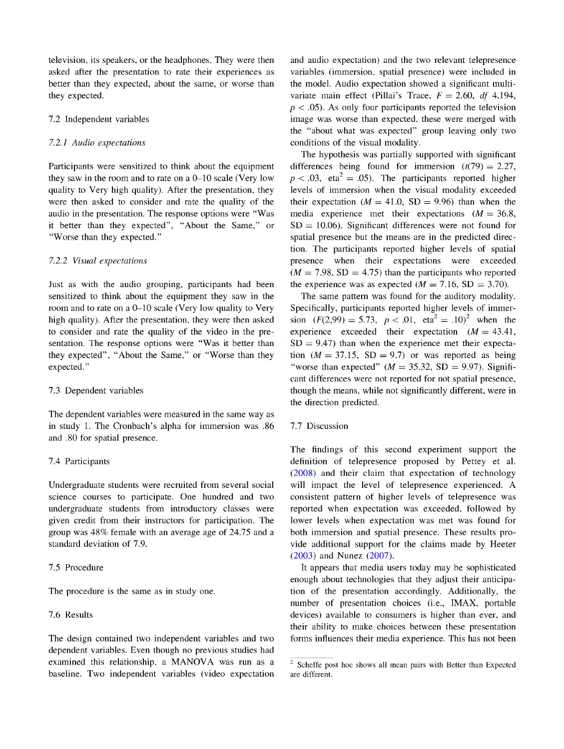television, its speakers, or the headphones. They were then asked after the presentation to rate their experiences as better than they expected, about the same, or worse than they expected.

#### 7.2 Independent variables

#### *7.2.1 Audio expectations*

Participants were sensitized to think about the equipment they saw in the room and to rate on a 0-10 scale (Very low quality to Very high quality). After the presentation, they were then asked to consider and rate the quality of the audio in the presentation. The response options were "Was it better than they expected", "About the Same," or "Worse than they expected."

#### *7.2.2 Visual expectations*

Just as with the audio grouping, participants had been sensitized to think about the equipment they saw in the room and to rate on a 0-10 scale (Very low quality to Very high quality). After the presentation, they were then asked to consider and rate the quality of the video in the presentation. The response options were "Was it better than they expected", "About the Same," or "Worse than they expected."

#### 7.3 Dependent variables

The dependent variables were measured in the same way as in study 1. The Cronbach's alpha for immersion was .86 and .80 for spatial presence.

#### 7.4 Participants

Undergraduate students were recruited from several social science courses to participate. One hundred and two undergraduate students from introductory classes were given credit from their instructors for participation. The group was 48% female with an average age of 24.75 and a standard deviation of 7.9.

#### 7.5 Procedure

The procedure is the same as in study one.

#### 7.6 Results

The design contained two independent variables and two dependent variables. Even though no previous studies had examined this relationship, a MANOVA was run as a baseline. Two independent variables (video expectation and audio expectation) and the two relevant telepresence variables (immersion, spatial presence) were included in the model. Audio expectation showed a significant multivariate main effect (Pillai's Trace,  $F = 2.60$ , *df* 4,194,  $p < .05$ ). As only four participants reported the television image was worse than expected, these were merged with the "about what was expected" group leaving only two conditions of the visual modality.

The hypothesis was partially supported with significant differences being found for immersion  $(t(79) = 2.27$ ,  $p < .03$ , eta<sup>2</sup> = .05). The participants reported higher levels of immersion when the visual modality exceeded their expectation  $(M = 41.0, SD = 9.96)$  than when the media experience met their expectations  $(M = 36.8,$  $SD = 10.06$ . Significant differences were not found for spatial presence but the means are in the predicted direction. The participants reported higher levels of spatial presence when their expectations were exceeded  $(M = 7.98, SD = 4.75)$  than the participants who reported the experience was as expected  $(M = 7.16, SD = 3.70)$ .

The same pattern was found for the auditory modality. Specifically, participants repotted higher levels of immersion  $(F(2,99) = 5.73, p < .01, \text{eta}^2 = .10)^2$  when the experience exceeded their expectation  $(M = 43.41,$  $SD = 9.47$ ) than when the experience met their expectation  $(M = 37.15, SD = 9.7)$  or was reported as being "worse than expected"  $(M = 35.32, SD = 9.97)$ . Significant differences were not reported for not spatial presence, though the means, while not significantly different, were in the direction predicted.

#### 7.7 Discussion

The findings of this second experiment support the definition of telepresence proposed by Pettey et al. (2008) and their claim that expectation of technology will impact the level of telepresence experienced. A consistent pattern of higher levels of telepresence was reported when expectation was exceeded, followed by lower levels when expectation was met was found for both immersion and spatial presence. These results provide additional support for the claims made by Heeter (2003) and Nunez (2007).

It appears that media users today may be sophisticated enough about technologies that they adjust their anticipation of the presentation accordingly. Additionally, the number of presentation choices (i.e., IMAX, portable devices) available to consumers is higher than ever, and their ability to make choices between these presentation forms influences their media experience. This has not been

 $2$  Scheffe post hoc shows all mean pairs with Better than Expected are different.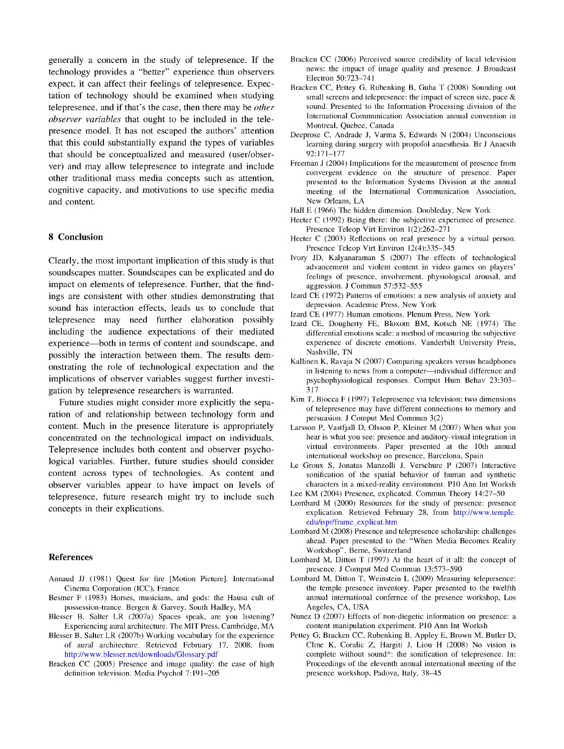generally a concern in the study of telepresence. If the technology provides a "better" experience than observers expect, it can affect their feelings of telepresence. Expectation of technology should be examined when studying telepresence, and if that's the case, then there may be *other observer variables* that ought to be included in the telepresence model. It has not escaped the authors' attention that this could substantially expand the types of variables that should be conceptualized and measured (user/observer) and may allow telepresence to integrate and include other traditional mass media concepts such as attention, cognitive capacity, and motivations to use specific media and content.

#### **8 Conclusion**

Clearly, the most important implication of this study is that soundscapes matter. Soundscapes can be explicated and do impact on elements of telepresence. Further, that the findings are consistent with other studies demonstrating that sound has interaction effects, leads us to conclude that telepresence may need further elaboration possibly including the audience expectations of their mediated experience—both in terms of content and soundscape, and possibly the interaction between them. The results demonstrating the role of technological expectation and the implications of observer variables suggest further investigation by telepresence researchers is warranted.

Future studies might consider more explicitly the separation of and relationship between technology form and content. Much in the presence literature is appropriately concentrated on the technological impact on individuals. Telepresence includes both content and observer psychological variables. Further, future studies should consider content across types of technologies. As content and observer variables appear to have impact on levels of telepresence, future research might try to include such concepts in their explications.

#### **References**

- Annaud JJ (1981) Quest for fire [Motion Picture]. International Cinema Corporation (ICC), France
- Besmer F (1983) Horses, musicians, and gods: the Hausa cult of possession-trance. Bergen & Garvey, South Hadley, MA
- Blesser B, Salter LR (2007a) Spaces speak, are you listening? Experiencing aural architecture. The MIT Press, Cambridge, MA
- Blesser B. Salter LR (2007b) Working vocabulary for the experience of aural architecture. Retrieved February 17, 2008, from <http://www.blesser.net/downloads/Glossary.pdf>
- Bracken CC (2005) Presence and image quality: the case of high definition television. Media Psychol 7:191-205
- Bracken CC (2006) Perceived source credibility of local television news: the impact of image quality and presence. J Broadcast Electron 50:723-741
- Bracken CC, Pettey G, Rubenking B, Guha T (2008) Sounding out small screens and telepresence: the impact of screen size, pace  $\&$ sound. Presented to the Information Processing division of the International Communication Association annual convention in Montreal, Quebec, Canada
- Deeprose C, Andrade J, Varma S, Edwards N (2004) Unconscious learning during surgery with propofol anaesthesia. Br J Anaesth 92:171-177
- Freeman J (2004) Implications for the measurement of presence from convergent evidence on the structure of presence. Paper presented to the Information Systems Division at the annual meeting of the International Communication Association, New Orleans, LA
- Hall E (1966) The hidden dimension. Doubleday, New York
- Heeter C (1992) Being there: the subjective experience of presence. Presence Teleop Virt Environ 1(2):262—271
- Heeter C (2003) Reflections on real presence by a virtual person. Presence Teleop Virt Environ 12(4):335—345
- Ivory JD, Kalyanaraman S (2007) The effects of technological advancement and violent content in video games on players' feelings of presence, involvement, physiological arousal, and aggression. J Commun 57:532-555
- Izard CE (1972) Patterns of emotions: a new analysis of anxiety and depression. Academic Press, New York
- Izard CE (1977) Human emotions. Plenum Press, New York
- Izard CE, Dougherty FE, Bloxom BM, Kotsch NE (1974) The differential emotions scale: a method of measuring the subjective experience of discrete emotions. Vanderbilt University Press, Nashville, TN
- Kallinen K, Ravaja N (2007) Comparing speakers versus headphones in listening to news from a computer—individual difference and psychophysiological responses. Comput Hum Behav 23:303- 317
- Kim T, Biocca F (1997) Telepresence via television: two dimensions of telepresence may have different connections to memory and persuasion. J Comput Med Commun 3(2)
- Larsson P, Vastfjall D, Olsson P, Kleiner M (2007) When what you hear is what you see: presence and auditory-visual integration in virtual environments. Paper presented at the 10th annual international workshop on presence, Barcelona, Spain
- Le Groux S, Jonatas Manzolli I. Verschure P (2007) Interactive sonification of the spatial behavior of human and synthetic characters in a mixed-reality environment. P10 Ann Int Worksh Lee KM (2004) Presence, explicated. Commun Theory 14:27-50
- Lombard M (2000) Resources for the study of presence: presence explication. Retrieved February 28, from [http://www.temple.](http://www.temple)
- edu/ispr/frame\_explicat.htm Lombard M (2008) Presence and telepresence scholarship: challenges ahead. Paper presented to the "When Media Becomes Reality Workshop", Berne, Switzerland
- Lombard M, Ditton T (1997) At the heart of it all: the concept of presence. J Comput Med Commun 13:573-590
- Lombard M, Ditton T, Weinstein L (2009) Measuring telepresence: the temple presence inventory. Paper presented to the twelfth annual international confernce of the presence workshop, Los Angeles, CA, USA
- Nunez D (2007) Effects of non-diegetic information on presence: a content manipulation experiment. P10 Ann Int Worksh
- Pettey G, Bracken CC, Rubenking B, Appley E, Brown M, Butler D, Cline K, Coralic Z, Hargiti J, Liou H (2008) No vision is complete without sound\*: the sonification of telepresence. In: Proceedings of the eleventh annual international meeting of the presence workshop, Padova, Italy, 38-45